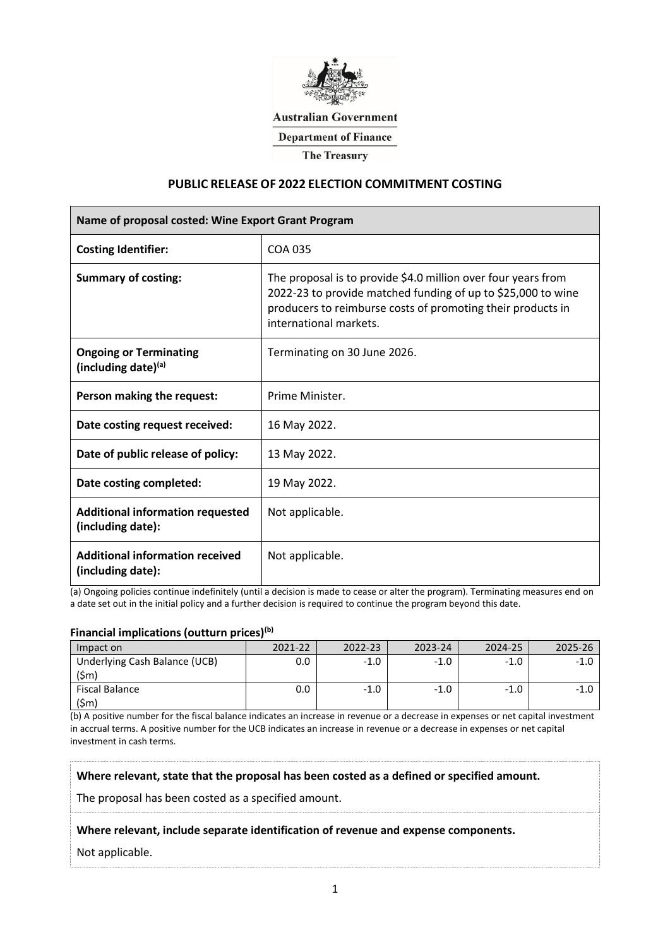

**Australian Government** 

**Department of Finance** 

**The Treasury** 

## **PUBLIC RELEASE OF 2022 ELECTION COMMITMENT COSTING**

| Name of proposal costed: Wine Export Grant Program           |                                                                                                                                                                                                                        |  |  |  |  |
|--------------------------------------------------------------|------------------------------------------------------------------------------------------------------------------------------------------------------------------------------------------------------------------------|--|--|--|--|
| <b>Costing Identifier:</b>                                   | COA 035                                                                                                                                                                                                                |  |  |  |  |
| <b>Summary of costing:</b>                                   | The proposal is to provide \$4.0 million over four years from<br>2022-23 to provide matched funding of up to \$25,000 to wine<br>producers to reimburse costs of promoting their products in<br>international markets. |  |  |  |  |
| <b>Ongoing or Terminating</b><br>(including date)(a)         | Terminating on 30 June 2026.                                                                                                                                                                                           |  |  |  |  |
| Person making the request:                                   | Prime Minister.                                                                                                                                                                                                        |  |  |  |  |
| Date costing request received:                               | 16 May 2022.                                                                                                                                                                                                           |  |  |  |  |
| Date of public release of policy:                            | 13 May 2022.                                                                                                                                                                                                           |  |  |  |  |
| Date costing completed:                                      | 19 May 2022.                                                                                                                                                                                                           |  |  |  |  |
| <b>Additional information requested</b><br>(including date): | Not applicable.                                                                                                                                                                                                        |  |  |  |  |
| <b>Additional information received</b><br>(including date):  | Not applicable.                                                                                                                                                                                                        |  |  |  |  |

(a) Ongoing policies continue indefinitely (until a decision is made to cease or alter the program). Terminating measures end on a date set out in the initial policy and a further decision is required to continue the program beyond this date.

### **Financial implications (outturn prices)(b)**

| Impact on                             | $2021 - 22$ | 2022-23 | 2023-24 | 2024-25 | 2025-26 |
|---------------------------------------|-------------|---------|---------|---------|---------|
| Underlying Cash Balance (UCB)<br>(5m) |             |         | - 11    |         |         |
| Fiscal Balance<br>$(\textsf{5m})$     |             | -10     | -11     | - 1 1   |         |

(b) A positive number for the fiscal balance indicates an increase in revenue or a decrease in expenses or net capital investment in accrual terms. A positive number for the UCB indicates an increase in revenue or a decrease in expenses or net capital investment in cash terms.

**Where relevant, state that the proposal has been costed as a defined or specified amount.**

The proposal has been costed as a specified amount.

#### **Where relevant, include separate identification of revenue and expense components.**

#### Not applicable.